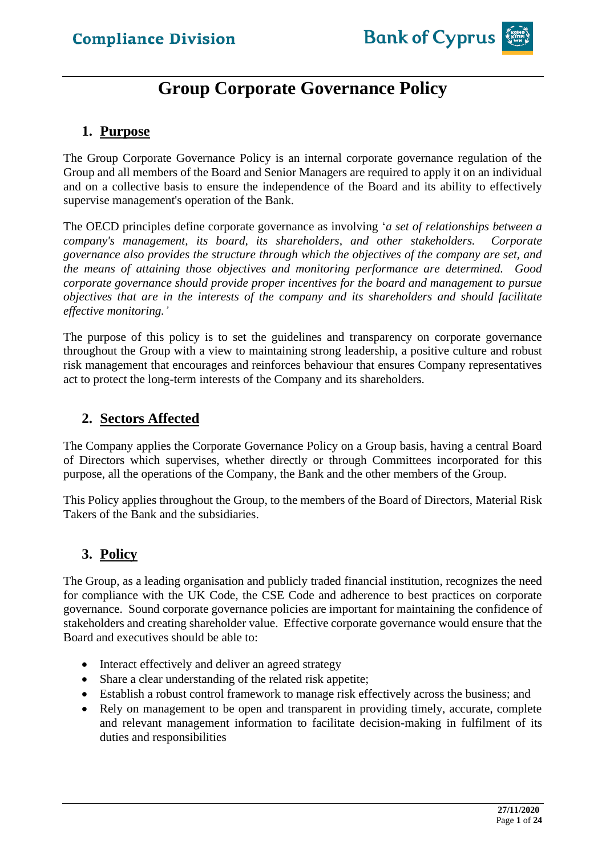# **Group Corporate Governance Policy**

### **1. Purpose**

The Group Corporate Governance Policy is an internal corporate governance regulation of the Group and all members of the Board and Senior Managers are required to apply it on an individual and on a collective basis to ensure the independence of the Board and its ability to effectively supervise management's operation of the Bank.

The OECD principles define corporate governance as involving '*a set of relationships between a company's management, its board, its shareholders, and other stakeholders. Corporate governance also provides the structure through which the objectives of the company are set, and the means of attaining those objectives and monitoring performance are determined. Good corporate governance should provide proper incentives for the board and management to pursue objectives that are in the interests of the company and its shareholders and should facilitate effective monitoring.'*

The purpose of this policy is to set the guidelines and transparency on corporate governance throughout the Group with a view to maintaining strong leadership, a positive culture and robust risk management that encourages and reinforces behaviour that ensures Company representatives act to protect the long-term interests of the Company and its shareholders.

### **2. Sectors Affected**

The Company applies the Corporate Governance Policy on a Group basis, having a central Board of Directors which supervises, whether directly or through Committees incorporated for this purpose, all the operations of the Company, the Bank and the other members of the Group.

This Policy applies throughout the Group, to the members of the Board of Directors, Material Risk Takers of the Bank and the subsidiaries.

### **3. Policy**

The Group, as a leading organisation and publicly traded financial institution, recognizes the need for compliance with the UK Code, the CSE Code and adherence to best practices on corporate governance. Sound corporate governance policies are important for maintaining the confidence of stakeholders and creating shareholder value. Effective corporate governance would ensure that the Board and executives should be able to:

- Interact effectively and deliver an agreed strategy
- Share a clear understanding of the related risk appetite;
- Establish a robust control framework to manage risk effectively across the business; and
- Rely on management to be open and transparent in providing timely, accurate, complete and relevant management information to facilitate decision-making in fulfilment of its duties and responsibilities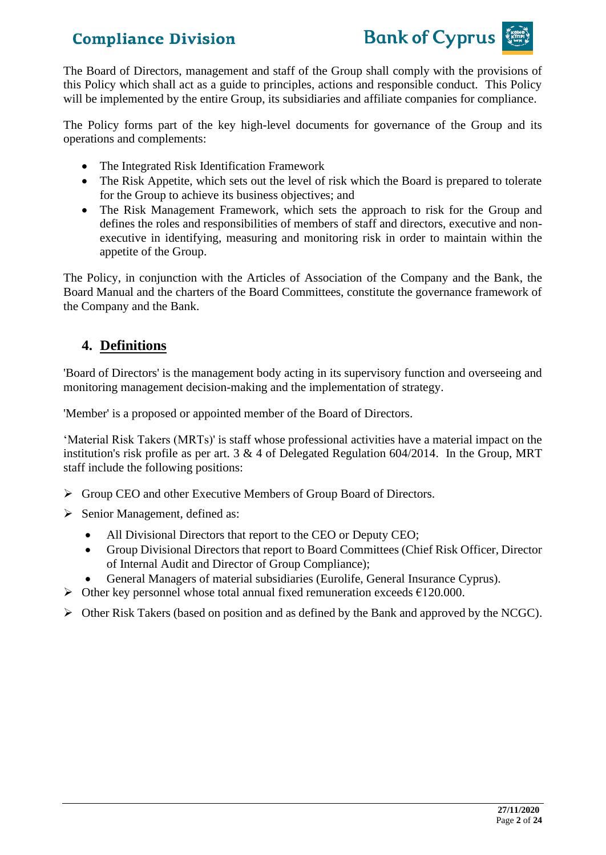

The Board of Directors, management and staff of the Group shall comply with the provisions of this Policy which shall act as a guide to principles, actions and responsible conduct. This Policy will be implemented by the entire Group, its subsidiaries and affiliate companies for compliance.

The Policy forms part of the key high-level documents for governance of the Group and its operations and complements:

- The Integrated Risk Identification Framework
- The Risk Appetite, which sets out the level of risk which the Board is prepared to tolerate for the Group to achieve its business objectives; and
- The Risk Management Framework, which sets the approach to risk for the Group and defines the roles and responsibilities of members of staff and directors, executive and nonexecutive in identifying, measuring and monitoring risk in order to maintain within the appetite of the Group.

The Policy, in conjunction with the Articles of Association of the Company and the Bank, the Board Manual and the charters of the Board Committees, constitute the governance framework of the Company and the Bank.

### **4. Definitions**

'Board of Directors' is the management body acting in its supervisory function and overseeing and monitoring management decision-making and the implementation of strategy.

'Member' is a proposed or appointed member of the Board of Directors.

'Material Risk Takers (MRTs)' is staff whose professional activities have a material impact on the institution's risk profile as per art. 3 & 4 of Delegated Regulation 604/2014. In the Group, MRT staff include the following positions:

- ➢ Group CEO and other Executive Members of Group Board of Directors.
- ➢ Senior Management, defined as:
	- All Divisional Directors that report to the CEO or Deputy CEO;
	- Group Divisional Directors that report to Board Committees (Chief Risk Officer, Director of Internal Audit and Director of Group Compliance);
	- General Managers of material subsidiaries (Eurolife, General Insurance Cyprus).
- $\triangleright$  Other key personnel whose total annual fixed remuneration exceeds  $\epsilon$ 120.000.
- ➢ Other Risk Takers (based on position and as defined by the Bank and approved by the NCGC).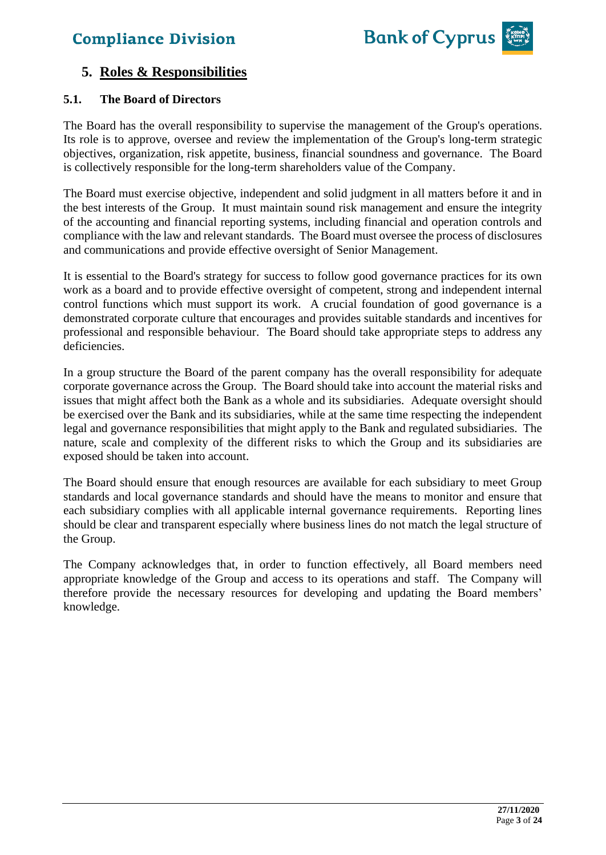

### **5. Roles & Responsibilities**

#### **5.1. The Board of Directors**

The Board has the overall responsibility to supervise the management of the Group's operations. Its role is to approve, oversee and review the implementation of the Group's long-term strategic objectives, organization, risk appetite, business, financial soundness and governance. The Board is collectively responsible for the long-term shareholders value of the Company.

The Board must exercise objective, independent and solid judgment in all matters before it and in the best interests of the Group. It must maintain sound risk management and ensure the integrity of the accounting and financial reporting systems, including financial and operation controls and compliance with the law and relevant standards. The Board must oversee the process of disclosures and communications and provide effective oversight of Senior Management.

It is essential to the Board's strategy for success to follow good governance practices for its own work as a board and to provide effective oversight of competent, strong and independent internal control functions which must support its work. A crucial foundation of good governance is a demonstrated corporate culture that encourages and provides suitable standards and incentives for professional and responsible behaviour. The Board should take appropriate steps to address any deficiencies.

In a group structure the Board of the parent company has the overall responsibility for adequate corporate governance across the Group. The Board should take into account the material risks and issues that might affect both the Bank as a whole and its subsidiaries. Adequate oversight should be exercised over the Bank and its subsidiaries, while at the same time respecting the independent legal and governance responsibilities that might apply to the Bank and regulated subsidiaries. The nature, scale and complexity of the different risks to which the Group and its subsidiaries are exposed should be taken into account.

The Board should ensure that enough resources are available for each subsidiary to meet Group standards and local governance standards and should have the means to monitor and ensure that each subsidiary complies with all applicable internal governance requirements. Reporting lines should be clear and transparent especially where business lines do not match the legal structure of the Group.

The Company acknowledges that, in order to function effectively, all Board members need appropriate knowledge of the Group and access to its operations and staff. The Company will therefore provide the necessary resources for developing and updating the Board members' knowledge.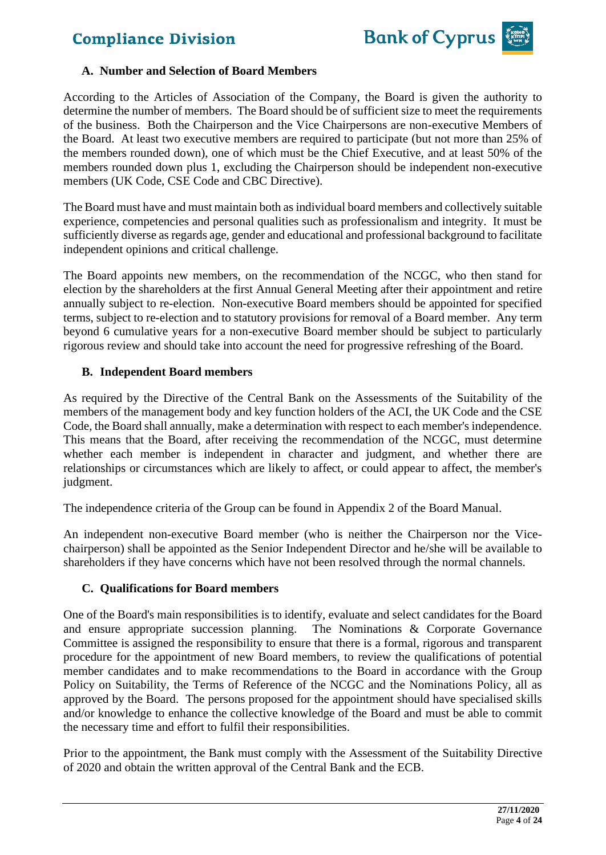

#### **A. Number and Selection of Board Members**

According to the Articles of Association of the Company, the Board is given the authority to determine the number of members. The Board should be of sufficient size to meet the requirements of the business. Both the Chairperson and the Vice Chairpersons are non-executive Members of the Board. At least two executive members are required to participate (but not more than 25% of the members rounded down), one of which must be the Chief Executive, and at least 50% of the members rounded down plus 1, excluding the Chairperson should be independent non-executive members (UK Code, CSE Code and CBC Directive).

The Board must have and must maintain both as individual board members and collectively suitable experience, competencies and personal qualities such as professionalism and integrity. It must be sufficiently diverse as regards age, gender and educational and professional background to facilitate independent opinions and critical challenge.

The Board appoints new members, on the recommendation of the NCGC, who then stand for election by the shareholders at the first Annual General Meeting after their appointment and retire annually subject to re-election. Non-executive Board members should be appointed for specified terms, subject to re-election and to statutory provisions for removal of a Board member. Any term beyond 6 cumulative years for a non-executive Board member should be subject to particularly rigorous review and should take into account the need for progressive refreshing of the Board.

#### **B. Independent Board members**

As required by the Directive of the Central Bank on the Assessments of the Suitability of the members of the management body and key function holders of the ACI, the UK Code and the CSE Code, the Board shall annually, make a determination with respect to each member's independence. This means that the Board, after receiving the recommendation of the NCGC, must determine whether each member is independent in character and judgment, and whether there are relationships or circumstances which are likely to affect, or could appear to affect, the member's judgment.

The independence criteria of the Group can be found in Appendix 2 of the Board Manual.

An independent non-executive Board member (who is neither the Chairperson nor the Vicechairperson) shall be appointed as the Senior Independent Director and he/she will be available to shareholders if they have concerns which have not been resolved through the normal channels.

#### **C. Qualifications for Board members**

One of the Board's main responsibilities is to identify, evaluate and select candidates for the Board and ensure appropriate succession planning. The Nominations & Corporate Governance Committee is assigned the responsibility to ensure that there is a formal, rigorous and transparent procedure for the appointment of new Board members, to review the qualifications of potential member candidates and to make recommendations to the Board in accordance with the Group Policy on Suitability, the Terms of Reference of the NCGC and the Nominations Policy, all as approved by the Board. The persons proposed for the appointment should have specialised skills and/or knowledge to enhance the collective knowledge of the Board and must be able to commit the necessary time and effort to fulfil their responsibilities.

Prior to the appointment, the Bank must comply with the Assessment of the Suitability Directive of 2020 and obtain the written approval of the Central Bank and the ECB.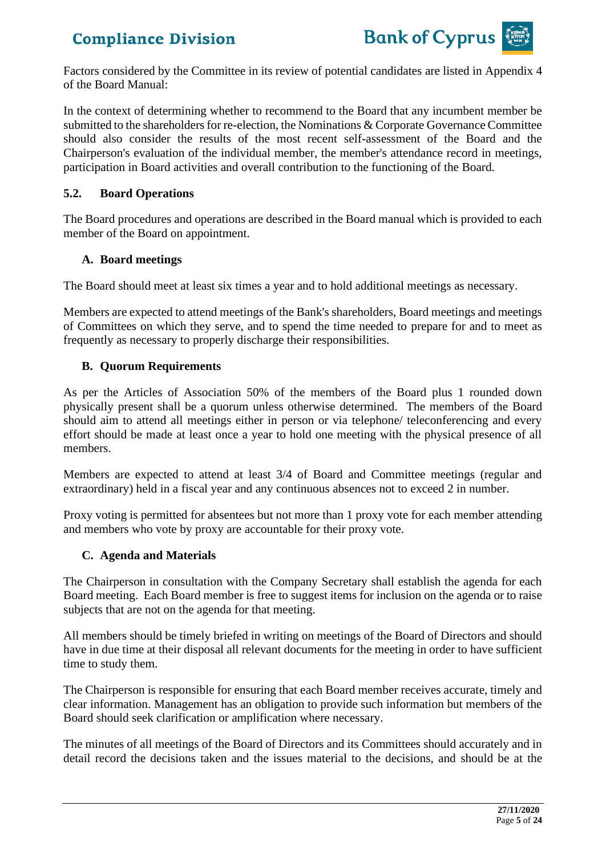

Factors considered by the Committee in its review of potential candidates are listed in Appendix 4 of the Board Manual:

In the context of determining whether to recommend to the Board that any incumbent member be submitted to the shareholders for re-election, the Nominations & Corporate Governance Committee should also consider the results of the most recent self-assessment of the Board and the Chairperson's evaluation of the individual member, the member's attendance record in meetings, participation in Board activities and overall contribution to the functioning of the Board.

#### **5.2. Board Operations**

The Board procedures and operations are described in the Board manual which is provided to each member of the Board on appointment.

#### **A. Board meetings**

The Board should meet at least six times a year and to hold additional meetings as necessary.

Members are expected to attend meetings of the Bank's shareholders, Board meetings and meetings of Committees on which they serve, and to spend the time needed to prepare for and to meet as frequently as necessary to properly discharge their responsibilities.

#### **B. Quorum Requirements**

As per the Articles of Association 50% of the members of the Board plus 1 rounded down physically present shall be a quorum unless otherwise determined. The members of the Board should aim to attend all meetings either in person or via telephone/ teleconferencing and every effort should be made at least once a year to hold one meeting with the physical presence of all members.

Members are expected to attend at least 3/4 of Board and Committee meetings (regular and extraordinary) held in a fiscal year and any continuous absences not to exceed 2 in number.

Proxy voting is permitted for absentees but not more than 1 proxy vote for each member attending and members who vote by proxy are accountable for their proxy vote.

#### **C. Agenda and Materials**

The Chairperson in consultation with the Company Secretary shall establish the agenda for each Board meeting. Each Board member is free to suggest items for inclusion on the agenda or to raise subjects that are not on the agenda for that meeting.

All members should be timely briefed in writing on meetings of the Board of Directors and should have in due time at their disposal all relevant documents for the meeting in order to have sufficient time to study them.

The Chairperson is responsible for ensuring that each Board member receives accurate, timely and clear information. Management has an obligation to provide such information but members of the Board should seek clarification or amplification where necessary.

The minutes of all meetings of the Board of Directors and its Committees should accurately and in detail record the decisions taken and the issues material to the decisions, and should be at the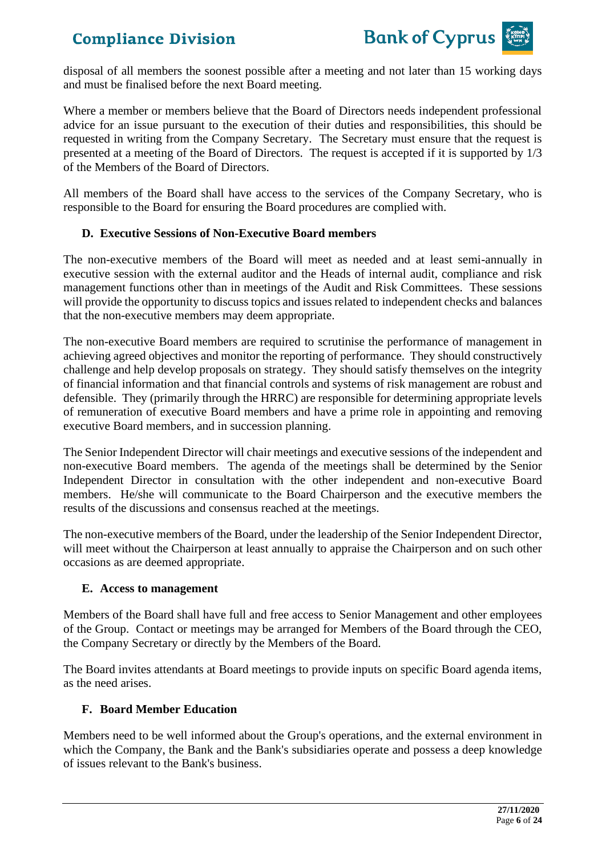

disposal of all members the soonest possible after a meeting and not later than 15 working days and must be finalised before the next Board meeting.

Where a member or members believe that the Board of Directors needs independent professional advice for an issue pursuant to the execution of their duties and responsibilities, this should be requested in writing from the Company Secretary. The Secretary must ensure that the request is presented at a meeting of the Board of Directors. The request is accepted if it is supported by 1/3 of the Members of the Board of Directors.

All members of the Board shall have access to the services of the Company Secretary, who is responsible to the Board for ensuring the Board procedures are complied with.

#### **D. Executive Sessions of Non-Executive Board members**

The non-executive members of the Board will meet as needed and at least semi-annually in executive session with the external auditor and the Heads of internal audit, compliance and risk management functions other than in meetings of the Audit and Risk Committees. These sessions will provide the opportunity to discuss topics and issues related to independent checks and balances that the non-executive members may deem appropriate.

The non-executive Board members are required to scrutinise the performance of management in achieving agreed objectives and monitor the reporting of performance. They should constructively challenge and help develop proposals on strategy. They should satisfy themselves on the integrity of financial information and that financial controls and systems of risk management are robust and defensible. They (primarily through the HRRC) are responsible for determining appropriate levels of remuneration of executive Board members and have a prime role in appointing and removing executive Board members, and in succession planning.

The Senior Independent Director will chair meetings and executive sessions of the independent and non-executive Board members. The agenda of the meetings shall be determined by the Senior Independent Director in consultation with the other independent and non-executive Board members. He/she will communicate to the Board Chairperson and the executive members the results of the discussions and consensus reached at the meetings.

The non-executive members of the Board, under the leadership of the Senior Independent Director, will meet without the Chairperson at least annually to appraise the Chairperson and on such other occasions as are deemed appropriate.

#### **E. Access to management**

Members of the Board shall have full and free access to Senior Management and other employees of the Group. Contact or meetings may be arranged for Members of the Board through the CEO, the Company Secretary or directly by the Members of the Board.

The Board invites attendants at Board meetings to provide inputs on specific Board agenda items, as the need arises.

#### **F. Board Member Education**

Members need to be well informed about the Group's operations, and the external environment in which the Company, the Bank and the Bank's subsidiaries operate and possess a deep knowledge of issues relevant to the Bank's business.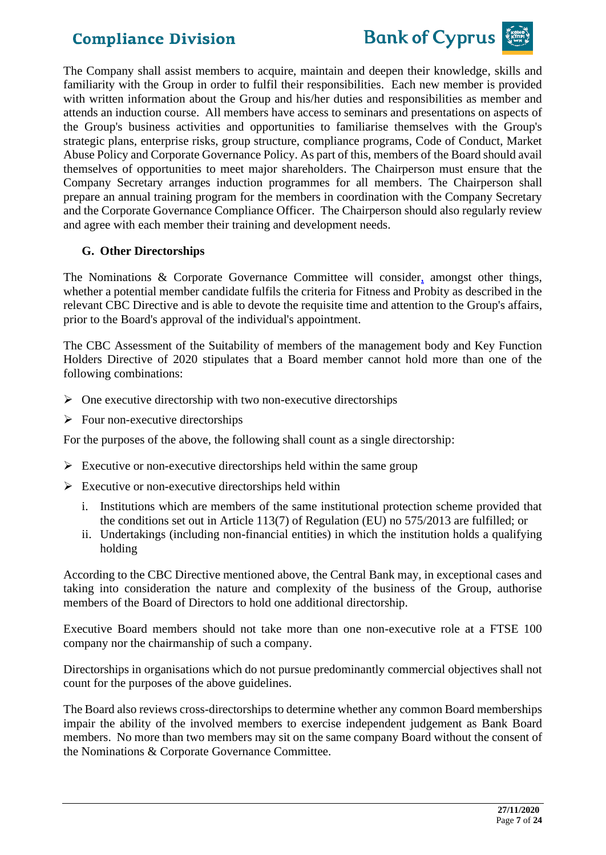



The Company shall assist members to acquire, maintain and deepen their knowledge, skills and familiarity with the Group in order to fulfil their responsibilities. Each new member is provided with written information about the Group and his/her duties and responsibilities as member and attends an induction course. All members have access to seminars and presentations on aspects of the Group's business activities and opportunities to familiarise themselves with the Group's strategic plans, enterprise risks, group structure, compliance programs, Code of Conduct, Market Abuse Policy and Corporate Governance Policy. As part of this, members of the Board should avail themselves of opportunities to meet major shareholders. The Chairperson must ensure that the Company Secretary arranges induction programmes for all members. The Chairperson shall prepare an annual training program for the members in coordination with the Company Secretary and the Corporate Governance Compliance Officer. The Chairperson should also regularly review and agree with each member their training and development needs.

#### **G. Other Directorships**

The Nominations & Corporate Governance Committee will consider, amongst other things, whether a potential member candidate fulfils the criteria for Fitness and Probity as described in the relevant CBC Directive and is able to devote the requisite time and attention to the Group's affairs, prior to the Board's approval of the individual's appointment.

The CBC Assessment of the Suitability of members of the management body and Key Function Holders Directive of 2020 stipulates that a Board member cannot hold more than one of the following combinations:

- $\triangleright$  One executive directorship with two non-executive directorships
- $\triangleright$  Four non-executive directorships

For the purposes of the above, the following shall count as a single directorship:

- $\triangleright$  Executive or non-executive directorships held within the same group
- $\triangleright$  Executive or non-executive directorships held within
	- i. Institutions which are members of the same institutional protection scheme provided that the conditions set out in Article 113(7) of Regulation (EU) no 575/2013 are fulfilled; or
	- ii. Undertakings (including non-financial entities) in which the institution holds a qualifying holding

According to the CBC Directive mentioned above, the Central Bank may, in exceptional cases and taking into consideration the nature and complexity of the business of the Group, authorise members of the Board of Directors to hold one additional directorship.

Executive Board members should not take more than one non-executive role at a FTSE 100 company nor the chairmanship of such a company.

Directorships in organisations which do not pursue predominantly commercial objectives shall not count for the purposes of the above guidelines.

The Board also reviews cross-directorships to determine whether any common Board memberships impair the ability of the involved members to exercise independent judgement as Bank Board members. No more than two members may sit on the same company Board without the consent of the Nominations & Corporate Governance Committee.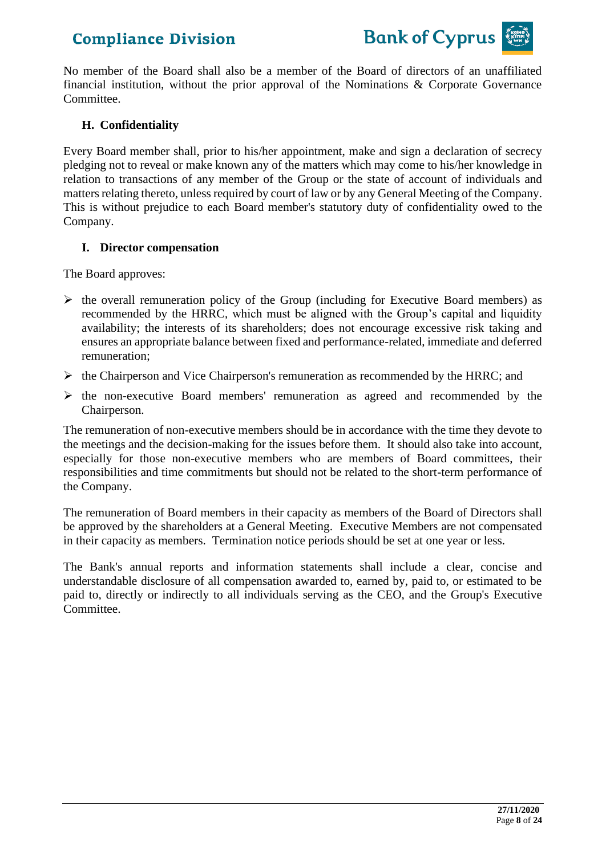

No member of the Board shall also be a member of the Board of directors of an unaffiliated financial institution, without the prior approval of the Nominations & Corporate Governance Committee.

#### **H. Confidentiality**

Every Board member shall, prior to his/her appointment, make and sign a declaration of secrecy pledging not to reveal or make known any of the matters which may come to his/her knowledge in relation to transactions of any member of the Group or the state of account of individuals and matters relating thereto, unless required by court of law or by any General Meeting of the Company. This is without prejudice to each Board member's statutory duty of confidentiality owed to the Company.

#### **I. Director compensation**

The Board approves:

- $\triangleright$  the overall remuneration policy of the Group (including for Executive Board members) as recommended by the HRRC, which must be aligned with the Group's capital and liquidity availability; the interests of its shareholders; does not encourage excessive risk taking and ensures an appropriate balance between fixed and performance-related, immediate and deferred remuneration;
- ➢ the Chairperson and Vice Chairperson's remuneration as recommended by the HRRC; and
- ➢ the non-executive Board members' remuneration as agreed and recommended by the Chairperson.

The remuneration of non-executive members should be in accordance with the time they devote to the meetings and the decision-making for the issues before them. It should also take into account, especially for those non-executive members who are members of Board committees, their responsibilities and time commitments but should not be related to the short-term performance of the Company.

The remuneration of Board members in their capacity as members of the Board of Directors shall be approved by the shareholders at a General Meeting. Executive Members are not compensated in their capacity as members. Termination notice periods should be set at one year or less.

The Bank's annual reports and information statements shall include a clear, concise and understandable disclosure of all compensation awarded to, earned by, paid to, or estimated to be paid to, directly or indirectly to all individuals serving as the CEO, and the Group's Executive Committee.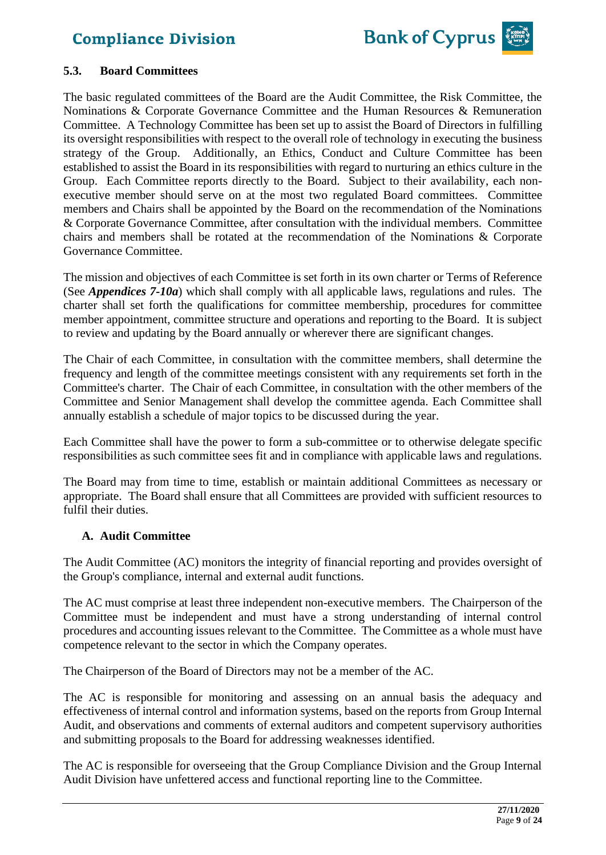

#### **5.3. Board Committees**

The basic regulated committees of the Board are the Audit Committee, the Risk Committee, the Nominations & Corporate Governance Committee and the Human Resources & Remuneration Committee. A Technology Committee has been set up to assist the Board of Directors in fulfilling its oversight responsibilities with respect to the overall role of technology in executing the business strategy of the Group. Additionally, an Ethics, Conduct and Culture Committee has been established to assist the Board in its responsibilities with regard to nurturing an ethics culture in the Group. Each Committee reports directly to the Board. Subject to their availability, each nonexecutive member should serve on at the most two regulated Board committees. Committee members and Chairs shall be appointed by the Board on the recommendation of the Nominations & Corporate Governance Committee, after consultation with the individual members. Committee chairs and members shall be rotated at the recommendation of the Nominations & Corporate Governance Committee.

The mission and objectives of each Committee is set forth in its own charter or Terms of Reference (See *Appendices 7-10a*) which shall comply with all applicable laws, regulations and rules. The charter shall set forth the qualifications for committee membership, procedures for committee member appointment, committee structure and operations and reporting to the Board. It is subject to review and updating by the Board annually or wherever there are significant changes.

The Chair of each Committee, in consultation with the committee members, shall determine the frequency and length of the committee meetings consistent with any requirements set forth in the Committee's charter. The Chair of each Committee, in consultation with the other members of the Committee and Senior Management shall develop the committee agenda. Each Committee shall annually establish a schedule of major topics to be discussed during the year.

Each Committee shall have the power to form a sub-committee or to otherwise delegate specific responsibilities as such committee sees fit and in compliance with applicable laws and regulations.

The Board may from time to time, establish or maintain additional Committees as necessary or appropriate. The Board shall ensure that all Committees are provided with sufficient resources to fulfil their duties.

#### **A. Audit Committee**

The Audit Committee (AC) monitors the integrity of financial reporting and provides oversight of the Group's compliance, internal and external audit functions.

The AC must comprise at least three independent non-executive members. The Chairperson of the Committee must be independent and must have a strong understanding of internal control procedures and accounting issues relevant to the Committee. The Committee as a whole must have competence relevant to the sector in which the Company operates.

The Chairperson of the Board of Directors may not be a member of the AC.

The AC is responsible for monitoring and assessing on an annual basis the adequacy and effectiveness of internal control and information systems, based on the reports from Group Internal Audit, and observations and comments of external auditors and competent supervisory authorities and submitting proposals to the Board for addressing weaknesses identified.

The AC is responsible for overseeing that the Group Compliance Division and the Group Internal Audit Division have unfettered access and functional reporting line to the Committee.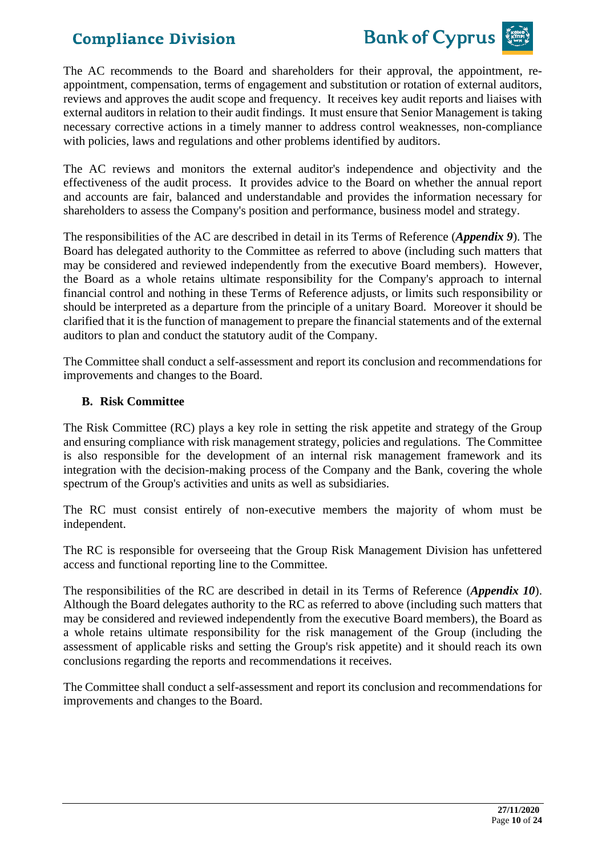

The AC recommends to the Board and shareholders for their approval, the appointment, reappointment, compensation, terms of engagement and substitution or rotation of external auditors, reviews and approves the audit scope and frequency. It receives key audit reports and liaises with external auditors in relation to their audit findings. It must ensure that Senior Management is taking necessary corrective actions in a timely manner to address control weaknesses, non-compliance with policies, laws and regulations and other problems identified by auditors.

The AC reviews and monitors the external auditor's independence and objectivity and the effectiveness of the audit process. It provides advice to the Board on whether the annual report and accounts are fair, balanced and understandable and provides the information necessary for shareholders to assess the Company's position and performance, business model and strategy.

The responsibilities of the AC are described in detail in its Terms of Reference (*Appendix 9*). The Board has delegated authority to the Committee as referred to above (including such matters that may be considered and reviewed independently from the executive Board members). However, the Board as a whole retains ultimate responsibility for the Company's approach to internal financial control and nothing in these Terms of Reference adjusts, or limits such responsibility or should be interpreted as a departure from the principle of a unitary Board. Moreover it should be clarified that it is the function of management to prepare the financial statements and of the external auditors to plan and conduct the statutory audit of the Company.

The Committee shall conduct a self-assessment and report its conclusion and recommendations for improvements and changes to the Board.

#### **B. Risk Committee**

The Risk Committee (RC) plays a key role in setting the risk appetite and strategy of the Group and ensuring compliance with risk management strategy, policies and regulations. The Committee is also responsible for the development of an internal risk management framework and its integration with the decision-making process of the Company and the Bank, covering the whole spectrum of the Group's activities and units as well as subsidiaries.

The RC must consist entirely of non-executive members the majority of whom must be independent.

The RC is responsible for overseeing that the Group Risk Management Division has unfettered access and functional reporting line to the Committee.

The responsibilities of the RC are described in detail in its Terms of Reference (*Appendix 10*). Although the Board delegates authority to the RC as referred to above (including such matters that may be considered and reviewed independently from the executive Board members), the Board as a whole retains ultimate responsibility for the risk management of the Group (including the assessment of applicable risks and setting the Group's risk appetite) and it should reach its own conclusions regarding the reports and recommendations it receives.

The Committee shall conduct a self-assessment and report its conclusion and recommendations for improvements and changes to the Board.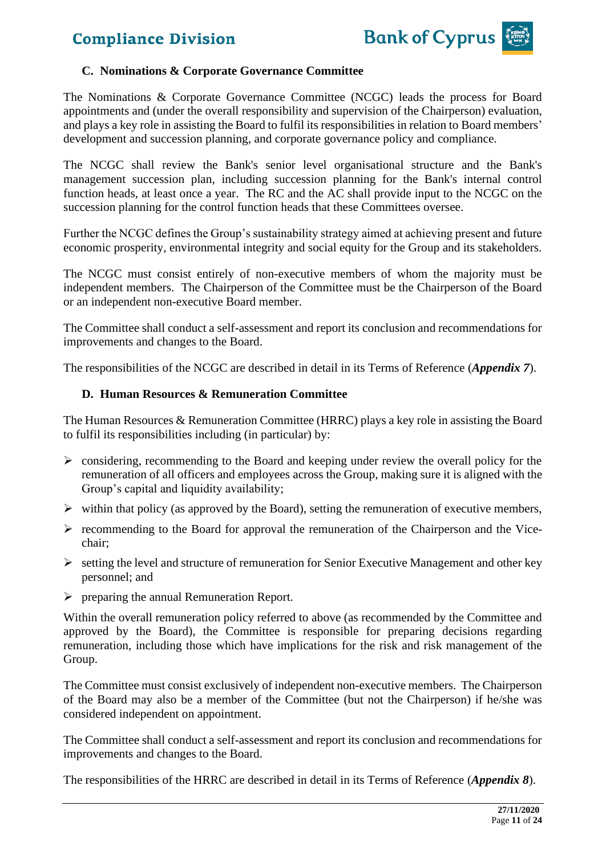

#### **C. Nominations & Corporate Governance Committee**

The Nominations & Corporate Governance Committee (NCGC) leads the process for Board appointments and (under the overall responsibility and supervision of the Chairperson) evaluation, and plays a key role in assisting the Board to fulfil its responsibilities in relation to Board members' development and succession planning, and corporate governance policy and compliance.

The NCGC shall review the Bank's senior level organisational structure and the Bank's management succession plan, including succession planning for the Bank's internal control function heads, at least once a year. The RC and the AC shall provide input to the NCGC on the succession planning for the control function heads that these Committees oversee.

Further the NCGC defines the Group's sustainability strategy aimed at achieving present and future economic prosperity, environmental integrity and social equity for the Group and its stakeholders.

The NCGC must consist entirely of non-executive members of whom the majority must be independent members. The Chairperson of the Committee must be the Chairperson of the Board or an independent non-executive Board member.

The Committee shall conduct a self-assessment and report its conclusion and recommendations for improvements and changes to the Board.

The responsibilities of the NCGC are described in detail in its Terms of Reference (*Appendix 7*).

#### **D. Human Resources & Remuneration Committee**

The Human Resources & Remuneration Committee (HRRC) plays a key role in assisting the Board to fulfil its responsibilities including (in particular) by:

- ➢ considering, recommending to the Board and keeping under review the overall policy for the remuneration of all officers and employees across the Group, making sure it is aligned with the Group's capital and liquidity availability;
- $\triangleright$  within that policy (as approved by the Board), setting the remuneration of executive members,
- ➢ recommending to the Board for approval the remuneration of the Chairperson and the Vicechair;
- ➢ setting the level and structure of remuneration for Senior Executive Management and other key personnel; and
- $\triangleright$  preparing the annual Remuneration Report.

Within the overall remuneration policy referred to above (as recommended by the Committee and approved by the Board), the Committee is responsible for preparing decisions regarding remuneration, including those which have implications for the risk and risk management of the Group.

The Committee must consist exclusively of independent non-executive members. The Chairperson of the Board may also be a member of the Committee (but not the Chairperson) if he/she was considered independent on appointment.

The Committee shall conduct a self-assessment and report its conclusion and recommendations for improvements and changes to the Board.

The responsibilities of the HRRC are described in detail in its Terms of Reference (*Appendix 8*).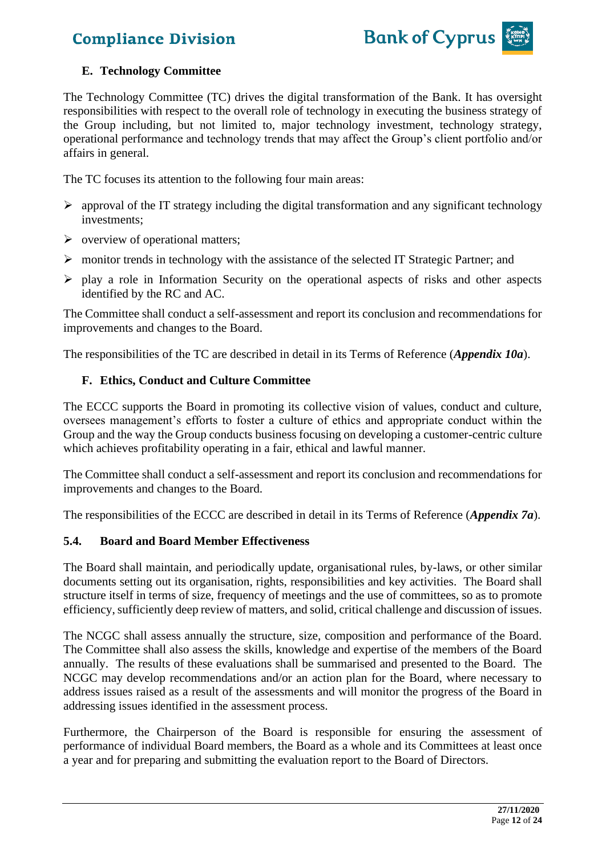

#### **E. Technology Committee**

The Technology Committee (TC) drives the digital transformation of the Bank. It has oversight responsibilities with respect to the overall role of technology in executing the business strategy of the Group including, but not limited to, major technology investment, technology strategy, operational performance and technology trends that may affect the Group's client portfolio and/or affairs in general.

The TC focuses its attention to the following four main areas:

- $\triangleright$  approval of the IT strategy including the digital transformation and any significant technology investments;
- $\triangleright$  overview of operational matters;
- $\triangleright$  monitor trends in technology with the assistance of the selected IT Strategic Partner; and
- ➢ play a role in Information Security on the operational aspects of risks and other aspects identified by the RC and AC.

The Committee shall conduct a self-assessment and report its conclusion and recommendations for improvements and changes to the Board.

The responsibilities of the TC are described in detail in its Terms of Reference (*Appendix 10a*).

#### **F. Ethics, Conduct and Culture Committee**

The ECCC supports the Board in promoting its collective vision of values, conduct and culture, oversees management's efforts to foster a culture of ethics and appropriate conduct within the Group and the way the Group conducts business focusing on developing a customer-centric culture which achieves profitability operating in a fair, ethical and lawful manner.

The Committee shall conduct a self-assessment and report its conclusion and recommendations for improvements and changes to the Board.

The responsibilities of the ECCC are described in detail in its Terms of Reference (*Appendix 7a*).

#### **5.4. Board and Board Member Effectiveness**

The Board shall maintain, and periodically update, organisational rules, by-laws, or other similar documents setting out its organisation, rights, responsibilities and key activities. The Board shall structure itself in terms of size, frequency of meetings and the use of committees, so as to promote efficiency, sufficiently deep review of matters, and solid, critical challenge and discussion of issues.

The NCGC shall assess annually the structure, size, composition and performance of the Board. The Committee shall also assess the skills, knowledge and expertise of the members of the Board annually. The results of these evaluations shall be summarised and presented to the Board. The NCGC may develop recommendations and/or an action plan for the Board, where necessary to address issues raised as a result of the assessments and will monitor the progress of the Board in addressing issues identified in the assessment process.

Furthermore, the Chairperson of the Board is responsible for ensuring the assessment of performance of individual Board members, the Board as a whole and its Committees at least once a year and for preparing and submitting the evaluation report to the Board of Directors.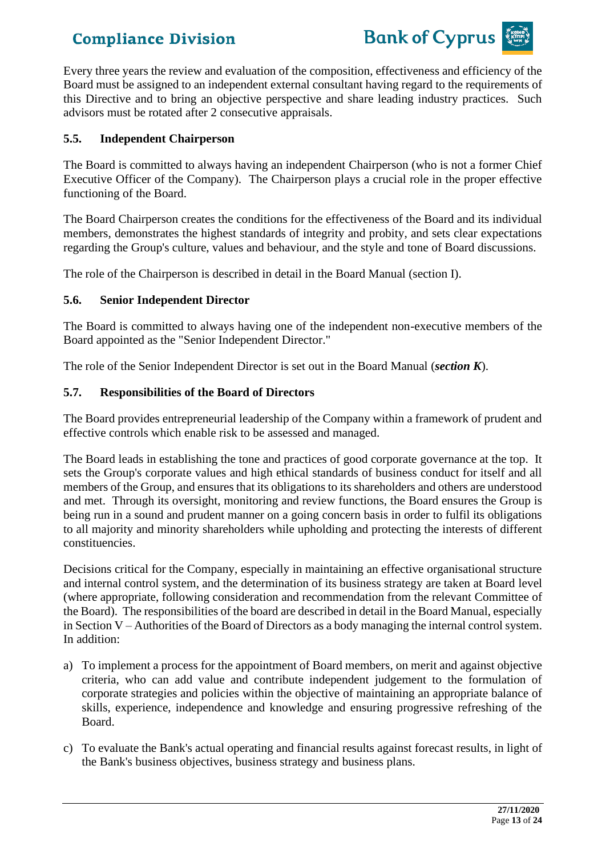

Every three years the review and evaluation of the composition, effectiveness and efficiency of the Board must be assigned to an independent external consultant having regard to the requirements of this Directive and to bring an objective perspective and share leading industry practices. Such advisors must be rotated after 2 consecutive appraisals.

#### **5.5. Independent Chairperson**

The Board is committed to always having an independent Chairperson (who is not a former Chief Executive Officer of the Company). The Chairperson plays a crucial role in the proper effective functioning of the Board.

The Board Chairperson creates the conditions for the effectiveness of the Board and its individual members, demonstrates the highest standards of integrity and probity, and sets clear expectations regarding the Group's culture, values and behaviour, and the style and tone of Board discussions.

The role of the Chairperson is described in detail in the Board Manual (section I).

#### **5.6. Senior Independent Director**

The Board is committed to always having one of the independent non-executive members of the Board appointed as the "Senior Independent Director."

The role of the Senior Independent Director is set out in the Board Manual (*section K*).

#### **5.7. Responsibilities of the Board of Directors**

The Board provides entrepreneurial leadership of the Company within a framework of prudent and effective controls which enable risk to be assessed and managed.

The Board leads in establishing the tone and practices of good corporate governance at the top. It sets the Group's corporate values and high ethical standards of business conduct for itself and all members of the Group, and ensures that its obligations to its shareholders and others are understood and met. Through its oversight, monitoring and review functions, the Board ensures the Group is being run in a sound and prudent manner on a going concern basis in order to fulfil its obligations to all majority and minority shareholders while upholding and protecting the interests of different constituencies.

Decisions critical for the Company, especially in maintaining an effective organisational structure and internal control system, and the determination of its business strategy are taken at Board level (where appropriate, following consideration and recommendation from the relevant Committee of the Board). The responsibilities of the board are described in detail in the Board Manual, especially in Section V – Authorities of the Board of Directors as a body managing the internal control system. In addition:

- a) To implement a process for the appointment of Board members, on merit and against objective criteria, who can add value and contribute independent judgement to the formulation of corporate strategies and policies within the objective of maintaining an appropriate balance of skills, experience, independence and knowledge and ensuring progressive refreshing of the Board.
- c) To evaluate the Bank's actual operating and financial results against forecast results, in light of the Bank's business objectives, business strategy and business plans.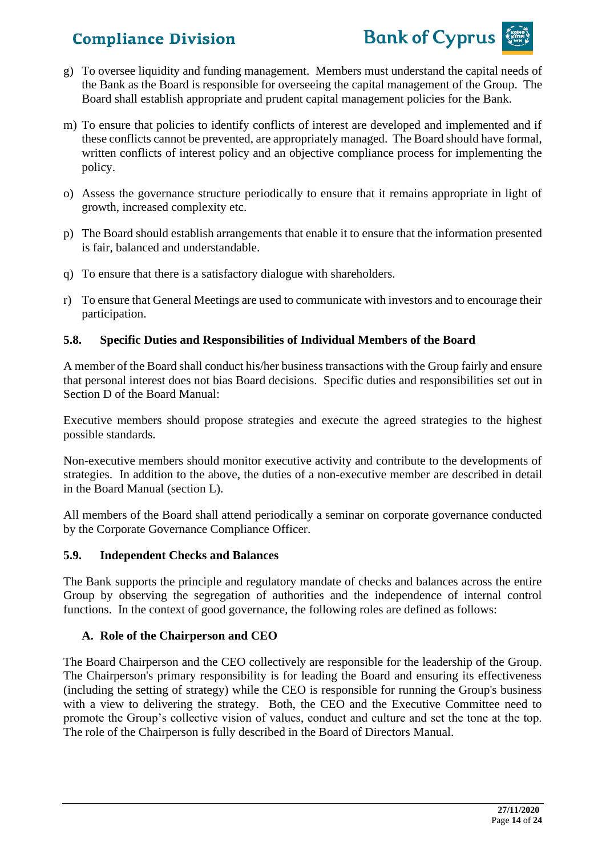

- g) To oversee liquidity and funding management. Members must understand the capital needs of the Bank as the Board is responsible for overseeing the capital management of the Group. The Board shall establish appropriate and prudent capital management policies for the Bank.
- m) To ensure that policies to identify conflicts of interest are developed and implemented and if these conflicts cannot be prevented, are appropriately managed. The Board should have formal, written conflicts of interest policy and an objective compliance process for implementing the policy.
- o) Assess the governance structure periodically to ensure that it remains appropriate in light of growth, increased complexity etc.
- p) The Board should establish arrangements that enable it to ensure that the information presented is fair, balanced and understandable.
- q) To ensure that there is a satisfactory dialogue with shareholders.
- r) To ensure that General Meetings are used to communicate with investors and to encourage their participation.

#### **5.8. Specific Duties and Responsibilities of Individual Members of the Board**

A member of the Board shall conduct his/her business transactions with the Group fairly and ensure that personal interest does not bias Board decisions. Specific duties and responsibilities set out in Section D of the Board Manual:

Executive members should propose strategies and execute the agreed strategies to the highest possible standards.

Non-executive members should monitor executive activity and contribute to the developments of strategies. In addition to the above, the duties of a non-executive member are described in detail in the Board Manual (section L).

All members of the Board shall attend periodically a seminar on corporate governance conducted by the Corporate Governance Compliance Officer.

#### **5.9. Independent Checks and Balances**

The Bank supports the principle and regulatory mandate of checks and balances across the entire Group by observing the segregation of authorities and the independence of internal control functions. In the context of good governance, the following roles are defined as follows:

#### **A. Role of the Chairperson and CEO**

The Board Chairperson and the CEO collectively are responsible for the leadership of the Group. The Chairperson's primary responsibility is for leading the Board and ensuring its effectiveness (including the setting of strategy) while the CEO is responsible for running the Group's business with a view to delivering the strategy. Both, the CEO and the Executive Committee need to promote the Group's collective vision of values, conduct and culture and set the tone at the top. The role of the Chairperson is fully described in the Board of Directors Manual.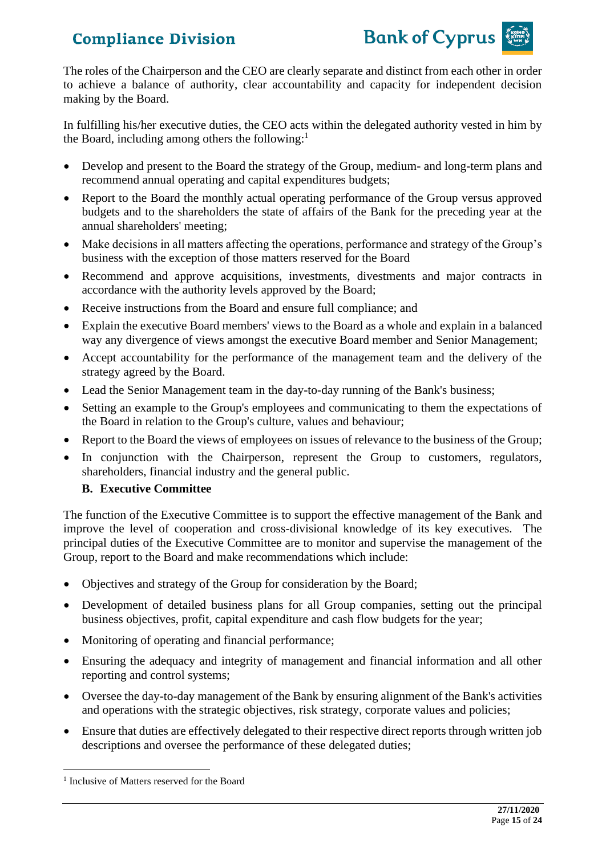

The roles of the Chairperson and the CEO are clearly separate and distinct from each other in order to achieve a balance of authority, clear accountability and capacity for independent decision making by the Board.

In fulfilling his/her executive duties, the CEO acts within the delegated authority vested in him by the Board, including among others the following:<sup>1</sup>

- Develop and present to the Board the strategy of the Group, medium- and long-term plans and recommend annual operating and capital expenditures budgets;
- Report to the Board the monthly actual operating performance of the Group versus approved budgets and to the shareholders the state of affairs of the Bank for the preceding year at the annual shareholders' meeting;
- Make decisions in all matters affecting the operations, performance and strategy of the Group's business with the exception of those matters reserved for the Board
- Recommend and approve acquisitions, investments, divestments and major contracts in accordance with the authority levels approved by the Board;
- Receive instructions from the Board and ensure full compliance; and
- Explain the executive Board members' views to the Board as a whole and explain in a balanced way any divergence of views amongst the executive Board member and Senior Management;
- Accept accountability for the performance of the management team and the delivery of the strategy agreed by the Board.
- Lead the Senior Management team in the day-to-day running of the Bank's business;
- Setting an example to the Group's employees and communicating to them the expectations of the Board in relation to the Group's culture, values and behaviour;
- Report to the Board the views of employees on issues of relevance to the business of the Group;
- In conjunction with the Chairperson, represent the Group to customers, regulators, shareholders, financial industry and the general public.

### **B. Executive Committee**

The function of the Executive Committee is to support the effective management of the Bank and improve the level of cooperation and cross-divisional knowledge of its key executives. The principal duties of the Executive Committee are to monitor and supervise the management of the Group, report to the Board and make recommendations which include:

- Objectives and strategy of the Group for consideration by the Board;
- Development of detailed business plans for all Group companies, setting out the principal business objectives, profit, capital expenditure and cash flow budgets for the year;
- Monitoring of operating and financial performance;
- Ensuring the adequacy and integrity of management and financial information and all other reporting and control systems;
- Oversee the day-to-day management of the Bank by ensuring alignment of the Bank's activities and operations with the strategic objectives, risk strategy, corporate values and policies;
- Ensure that duties are effectively delegated to their respective direct reports through written job descriptions and oversee the performance of these delegated duties;

<sup>&</sup>lt;sup>1</sup> Inclusive of Matters reserved for the Board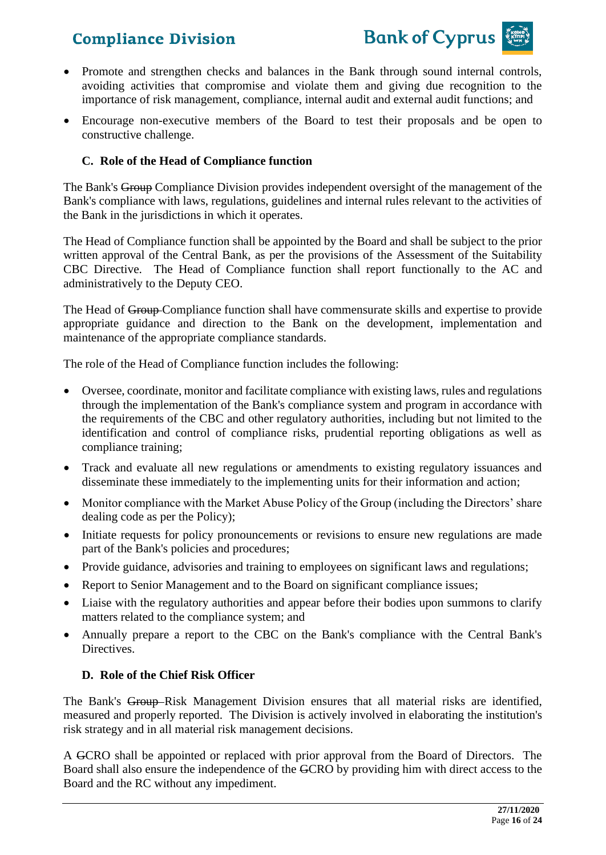

- Promote and strengthen checks and balances in the Bank through sound internal controls, avoiding activities that compromise and violate them and giving due recognition to the importance of risk management, compliance, internal audit and external audit functions; and
- Encourage non-executive members of the Board to test their proposals and be open to constructive challenge.

#### **C. Role of the Head of Compliance function**

The Bank's Group Compliance Division provides independent oversight of the management of the Bank's compliance with laws, regulations, guidelines and internal rules relevant to the activities of the Bank in the jurisdictions in which it operates.

The Head of Compliance function shall be appointed by the Board and shall be subject to the prior written approval of the Central Bank, as per the provisions of the Assessment of the Suitability CBC Directive. The Head of Compliance function shall report functionally to the AC and administratively to the Deputy CEO.

The Head of Group-Compliance function shall have commensurate skills and expertise to provide appropriate guidance and direction to the Bank on the development, implementation and maintenance of the appropriate compliance standards.

The role of the Head of Compliance function includes the following:

- Oversee, coordinate, monitor and facilitate compliance with existing laws, rules and regulations through the implementation of the Bank's compliance system and program in accordance with the requirements of the CBC and other regulatory authorities, including but not limited to the identification and control of compliance risks, prudential reporting obligations as well as compliance training;
- Track and evaluate all new regulations or amendments to existing regulatory issuances and disseminate these immediately to the implementing units for their information and action;
- Monitor compliance with the Market Abuse Policy of the Group (including the Directors' share dealing code as per the Policy);
- Initiate requests for policy pronouncements or revisions to ensure new regulations are made part of the Bank's policies and procedures;
- Provide guidance, advisories and training to employees on significant laws and regulations;
- Report to Senior Management and to the Board on significant compliance issues;
- Liaise with the regulatory authorities and appear before their bodies upon summons to clarify matters related to the compliance system; and
- Annually prepare a report to the CBC on the Bank's compliance with the Central Bank's Directives.

#### **D. Role of the Chief Risk Officer**

The Bank's Group-Risk Management Division ensures that all material risks are identified, measured and properly reported. The Division is actively involved in elaborating the institution's risk strategy and in all material risk management decisions.

A GCRO shall be appointed or replaced with prior approval from the Board of Directors. The Board shall also ensure the independence of the GCRO by providing him with direct access to the Board and the RC without any impediment.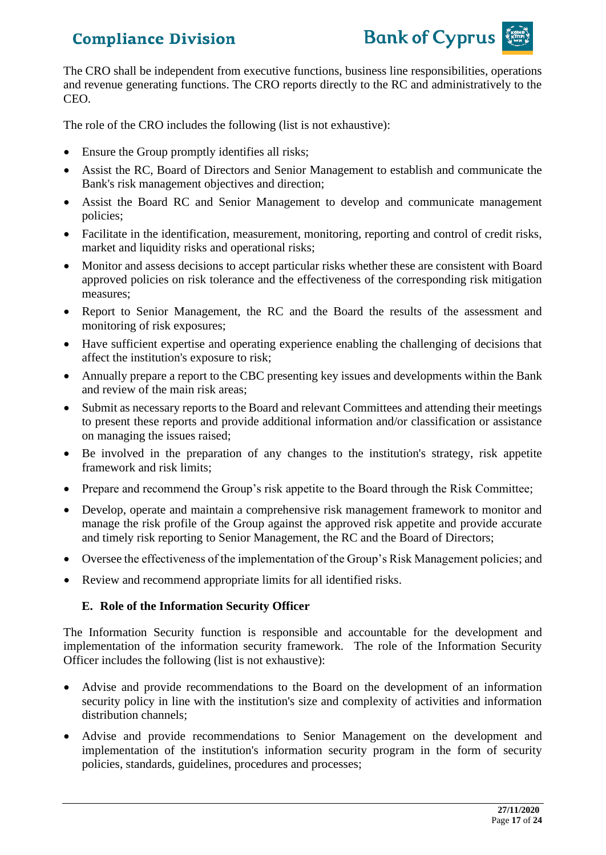

The CRO shall be independent from executive functions, business line responsibilities, operations and revenue generating functions. The CRO reports directly to the RC and administratively to the CEO.

The role of the CRO includes the following (list is not exhaustive):

- Ensure the Group promptly identifies all risks;
- Assist the RC, Board of Directors and Senior Management to establish and communicate the Bank's risk management objectives and direction;
- Assist the Board RC and Senior Management to develop and communicate management policies;
- Facilitate in the identification, measurement, monitoring, reporting and control of credit risks, market and liquidity risks and operational risks;
- Monitor and assess decisions to accept particular risks whether these are consistent with Board approved policies on risk tolerance and the effectiveness of the corresponding risk mitigation measures;
- Report to Senior Management, the RC and the Board the results of the assessment and monitoring of risk exposures;
- Have sufficient expertise and operating experience enabling the challenging of decisions that affect the institution's exposure to risk;
- Annually prepare a report to the CBC presenting key issues and developments within the Bank and review of the main risk areas;
- Submit as necessary reports to the Board and relevant Committees and attending their meetings to present these reports and provide additional information and/or classification or assistance on managing the issues raised;
- Be involved in the preparation of any changes to the institution's strategy, risk appetite framework and risk limits;
- Prepare and recommend the Group's risk appetite to the Board through the Risk Committee;
- Develop, operate and maintain a comprehensive risk management framework to monitor and manage the risk profile of the Group against the approved risk appetite and provide accurate and timely risk reporting to Senior Management, the RC and the Board of Directors;
- Oversee the effectiveness of the implementation of the Group's Risk Management policies; and
- Review and recommend appropriate limits for all identified risks.

#### **E. Role of the Information Security Officer**

The Information Security function is responsible and accountable for the development and implementation of the information security framework. The role of the Information Security Officer includes the following (list is not exhaustive):

- Advise and provide recommendations to the Board on the development of an information security policy in line with the institution's size and complexity of activities and information distribution channels;
- Advise and provide recommendations to Senior Management on the development and implementation of the institution's information security program in the form of security policies, standards, guidelines, procedures and processes;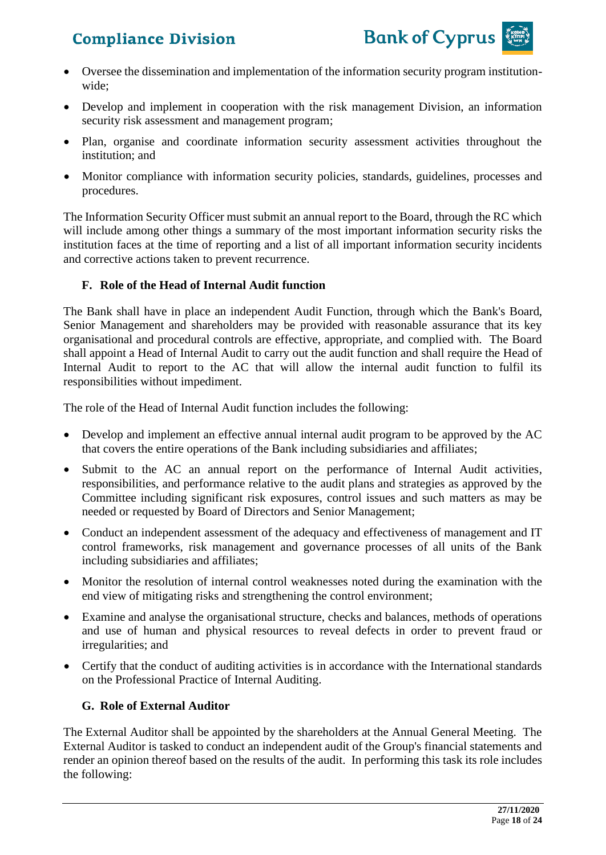

- Oversee the dissemination and implementation of the information security program institutionwide;
- Develop and implement in cooperation with the risk management Division, an information security risk assessment and management program;
- Plan, organise and coordinate information security assessment activities throughout the institution; and
- Monitor compliance with information security policies, standards, guidelines, processes and procedures.

The Information Security Officer must submit an annual report to the Board, through the RC which will include among other things a summary of the most important information security risks the institution faces at the time of reporting and a list of all important information security incidents and corrective actions taken to prevent recurrence.

#### **F. Role of the Head of Internal Audit function**

The Bank shall have in place an independent Audit Function, through which the Bank's Board, Senior Management and shareholders may be provided with reasonable assurance that its key organisational and procedural controls are effective, appropriate, and complied with. The Board shall appoint a Head of Internal Audit to carry out the audit function and shall require the Head of Internal Audit to report to the AC that will allow the internal audit function to fulfil its responsibilities without impediment.

The role of the Head of Internal Audit function includes the following:

- Develop and implement an effective annual internal audit program to be approved by the AC that covers the entire operations of the Bank including subsidiaries and affiliates;
- Submit to the AC an annual report on the performance of Internal Audit activities, responsibilities, and performance relative to the audit plans and strategies as approved by the Committee including significant risk exposures, control issues and such matters as may be needed or requested by Board of Directors and Senior Management;
- Conduct an independent assessment of the adequacy and effectiveness of management and IT control frameworks, risk management and governance processes of all units of the Bank including subsidiaries and affiliates;
- Monitor the resolution of internal control weaknesses noted during the examination with the end view of mitigating risks and strengthening the control environment;
- Examine and analyse the organisational structure, checks and balances, methods of operations and use of human and physical resources to reveal defects in order to prevent fraud or irregularities; and
- Certify that the conduct of auditing activities is in accordance with the International standards on the Professional Practice of Internal Auditing.

#### **G. Role of External Auditor**

The External Auditor shall be appointed by the shareholders at the Annual General Meeting. The External Auditor is tasked to conduct an independent audit of the Group's financial statements and render an opinion thereof based on the results of the audit. In performing this task its role includes the following: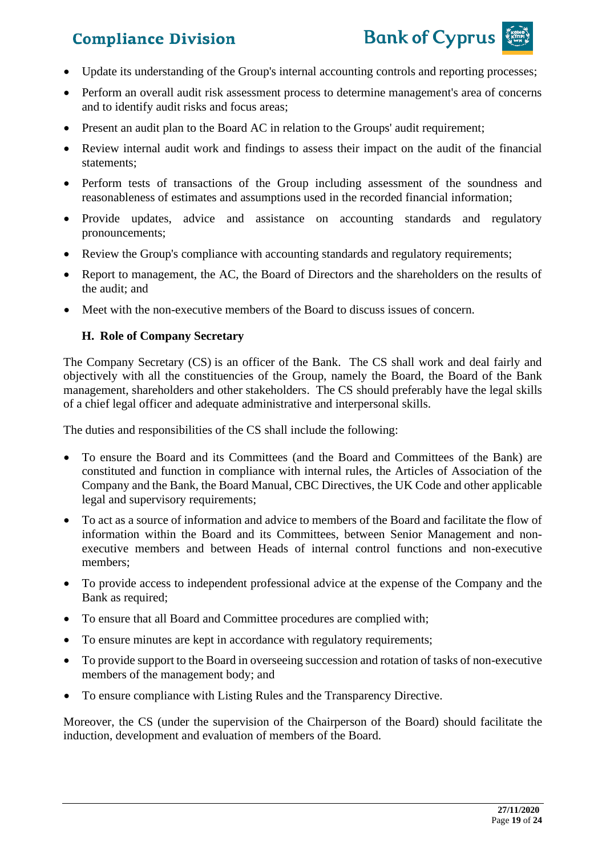

- Update its understanding of the Group's internal accounting controls and reporting processes;
- Perform an overall audit risk assessment process to determine management's area of concerns and to identify audit risks and focus areas;
- Present an audit plan to the Board AC in relation to the Groups' audit requirement;
- Review internal audit work and findings to assess their impact on the audit of the financial statements;
- Perform tests of transactions of the Group including assessment of the soundness and reasonableness of estimates and assumptions used in the recorded financial information;
- Provide updates, advice and assistance on accounting standards and regulatory pronouncements;
- Review the Group's compliance with accounting standards and regulatory requirements;
- Report to management, the AC, the Board of Directors and the shareholders on the results of the audit; and
- Meet with the non-executive members of the Board to discuss issues of concern.

#### **H. Role of Company Secretary**

The Company Secretary (CS) is an officer of the Bank. The CS shall work and deal fairly and objectively with all the constituencies of the Group, namely the Board, the Board of the Bank management, shareholders and other stakeholders. The CS should preferably have the legal skills of a chief legal officer and adequate administrative and interpersonal skills.

The duties and responsibilities of the CS shall include the following:

- To ensure the Board and its Committees (and the Board and Committees of the Bank) are constituted and function in compliance with internal rules, the Articles of Association of the Company and the Bank, the Board Manual, CBC Directives, the UK Code and other applicable legal and supervisory requirements;
- To act as a source of information and advice to members of the Board and facilitate the flow of information within the Board and its Committees, between Senior Management and nonexecutive members and between Heads of internal control functions and non-executive members;
- To provide access to independent professional advice at the expense of the Company and the Bank as required;
- To ensure that all Board and Committee procedures are complied with;
- To ensure minutes are kept in accordance with regulatory requirements;
- To provide support to the Board in overseeing succession and rotation of tasks of non-executive members of the management body; and
- To ensure compliance with Listing Rules and the Transparency Directive.

Moreover, the CS (under the supervision of the Chairperson of the Board) should facilitate the induction, development and evaluation of members of the Board.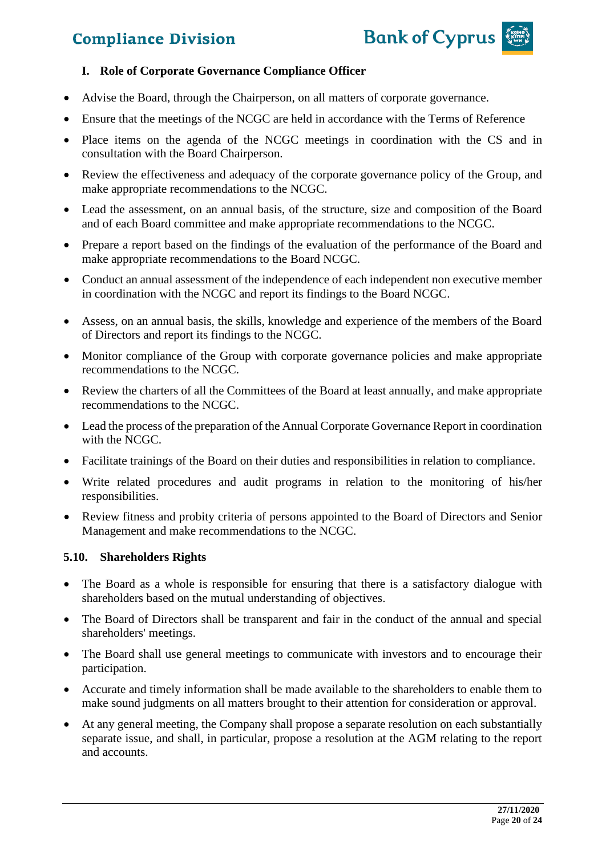

#### **I. Role of Corporate Governance Compliance Officer**

- Advise the Board, through the Chairperson, on all matters of corporate governance.
- Ensure that the meetings of the NCGC are held in accordance with the Terms of Reference
- Place items on the agenda of the NCGC meetings in coordination with the CS and in consultation with the Board Chairperson.
- Review the effectiveness and adequacy of the corporate governance policy of the Group, and make appropriate recommendations to the NCGC.
- Lead the assessment, on an annual basis, of the structure, size and composition of the Board and of each Board committee and make appropriate recommendations to the NCGC.
- Prepare a report based on the findings of the evaluation of the performance of the Board and make appropriate recommendations to the Board NCGC.
- Conduct an annual assessment of the independence of each independent non executive member in coordination with the NCGC and report its findings to the Board NCGC.
- Assess, on an annual basis, the skills, knowledge and experience of the members of the Board of Directors and report its findings to the NCGC.
- Monitor compliance of the Group with corporate governance policies and make appropriate recommendations to the NCGC.
- Review the charters of all the Committees of the Board at least annually, and make appropriate recommendations to the NCGC.
- Lead the process of the preparation of the Annual Corporate Governance Report in coordination with the NCGC.
- Facilitate trainings of the Board on their duties and responsibilities in relation to compliance.
- Write related procedures and audit programs in relation to the monitoring of his/her responsibilities.
- Review fitness and probity criteria of persons appointed to the Board of Directors and Senior Management and make recommendations to the NCGC.

#### **5.10. Shareholders Rights**

- The Board as a whole is responsible for ensuring that there is a satisfactory dialogue with shareholders based on the mutual understanding of objectives.
- The Board of Directors shall be transparent and fair in the conduct of the annual and special shareholders' meetings.
- The Board shall use general meetings to communicate with investors and to encourage their participation.
- Accurate and timely information shall be made available to the shareholders to enable them to make sound judgments on all matters brought to their attention for consideration or approval.
- At any general meeting, the Company shall propose a separate resolution on each substantially separate issue, and shall, in particular, propose a resolution at the AGM relating to the report and accounts.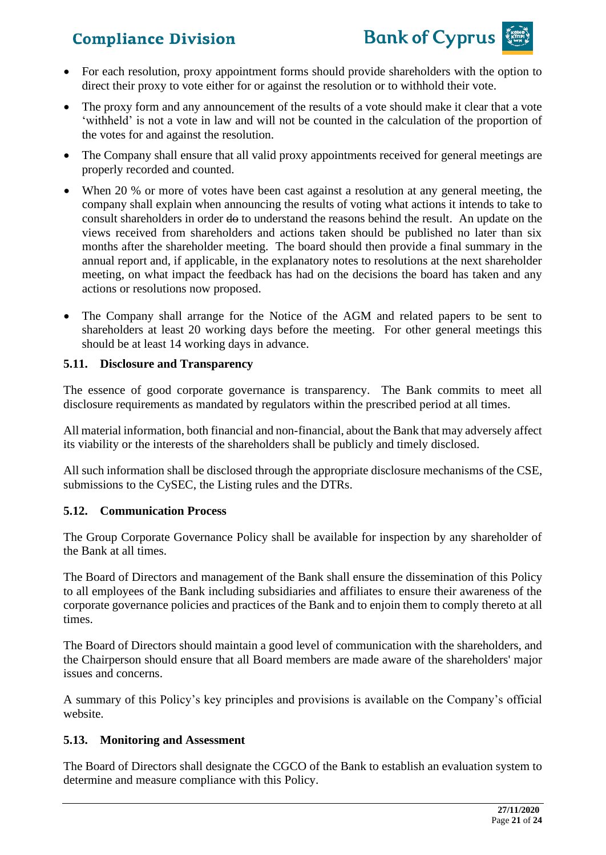

- For each resolution, proxy appointment forms should provide shareholders with the option to direct their proxy to vote either for or against the resolution or to withhold their vote.
- The proxy form and any announcement of the results of a vote should make it clear that a vote 'withheld' is not a vote in law and will not be counted in the calculation of the proportion of the votes for and against the resolution.
- The Company shall ensure that all valid proxy appointments received for general meetings are properly recorded and counted.
- When 20 % or more of votes have been cast against a resolution at any general meeting, the company shall explain when announcing the results of voting what actions it intends to take to consult shareholders in order  $\theta$  to understand the reasons behind the result. An update on the views received from shareholders and actions taken should be published no later than six months after the shareholder meeting. The board should then provide a final summary in the annual report and, if applicable, in the explanatory notes to resolutions at the next shareholder meeting, on what impact the feedback has had on the decisions the board has taken and any actions or resolutions now proposed.
- The Company shall arrange for the Notice of the AGM and related papers to be sent to shareholders at least 20 working days before the meeting. For other general meetings this should be at least 14 working days in advance.

#### **5.11. Disclosure and Transparency**

The essence of good corporate governance is transparency. The Bank commits to meet all disclosure requirements as mandated by regulators within the prescribed period at all times.

All material information, both financial and non-financial, about the Bank that may adversely affect its viability or the interests of the shareholders shall be publicly and timely disclosed.

All such information shall be disclosed through the appropriate disclosure mechanisms of the CSE, submissions to the CySEC, the Listing rules and the DTRs.

#### **5.12. Communication Process**

The Group Corporate Governance Policy shall be available for inspection by any shareholder of the Bank at all times.

The Board of Directors and management of the Bank shall ensure the dissemination of this Policy to all employees of the Bank including subsidiaries and affiliates to ensure their awareness of the corporate governance policies and practices of the Bank and to enjoin them to comply thereto at all times.

The Board of Directors should maintain a good level of communication with the shareholders, and the Chairperson should ensure that all Board members are made aware of the shareholders' major issues and concerns.

A summary of this Policy's key principles and provisions is available on the Company's official website.

#### **5.13. Monitoring and Assessment**

The Board of Directors shall designate the CGCO of the Bank to establish an evaluation system to determine and measure compliance with this Policy.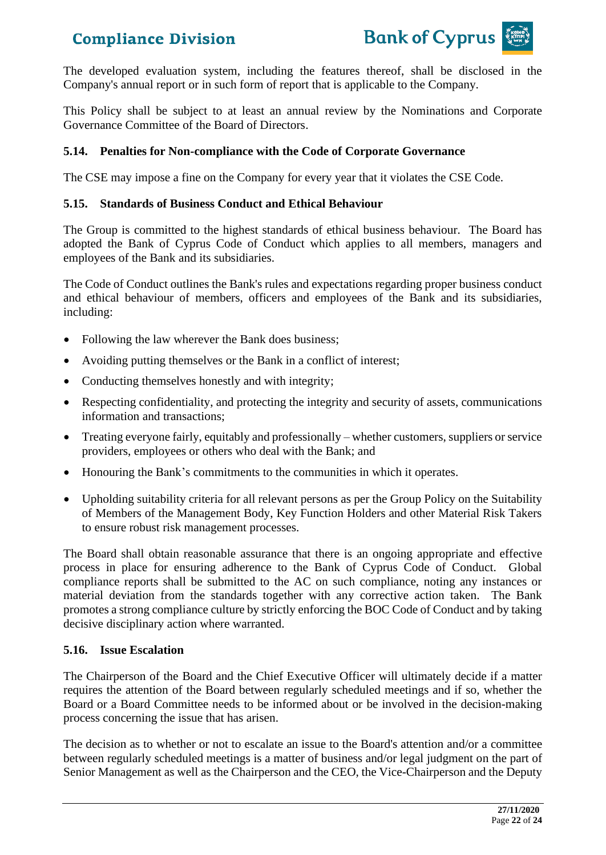

The developed evaluation system, including the features thereof, shall be disclosed in the Company's annual report or in such form of report that is applicable to the Company.

This Policy shall be subject to at least an annual review by the Nominations and Corporate Governance Committee of the Board of Directors.

#### **5.14. Penalties for Non-compliance with the Code of Corporate Governance**

The CSE may impose a fine on the Company for every year that it violates the CSE Code.

#### **5.15. Standards of Business Conduct and Ethical Behaviour**

The Group is committed to the highest standards of ethical business behaviour. The Board has adopted the Bank of Cyprus Code of Conduct which applies to all members, managers and employees of the Bank and its subsidiaries.

The Code of Conduct outlines the Bank's rules and expectations regarding proper business conduct and ethical behaviour of members, officers and employees of the Bank and its subsidiaries, including:

- Following the law wherever the Bank does business;
- Avoiding putting themselves or the Bank in a conflict of interest;
- Conducting themselves honestly and with integrity;
- Respecting confidentiality, and protecting the integrity and security of assets, communications information and transactions;
- Treating everyone fairly, equitably and professionally whether customers, suppliers or service providers, employees or others who deal with the Bank; and
- Honouring the Bank's commitments to the communities in which it operates.
- Upholding suitability criteria for all relevant persons as per the Group Policy on the Suitability of Members of the Management Body, Key Function Holders and other Material Risk Takers to ensure robust risk management processes.

The Board shall obtain reasonable assurance that there is an ongoing appropriate and effective process in place for ensuring adherence to the Bank of Cyprus Code of Conduct. Global compliance reports shall be submitted to the AC on such compliance, noting any instances or material deviation from the standards together with any corrective action taken. The Bank promotes a strong compliance culture by strictly enforcing the BOC Code of Conduct and by taking decisive disciplinary action where warranted.

#### **5.16. Issue Escalation**

The Chairperson of the Board and the Chief Executive Officer will ultimately decide if a matter requires the attention of the Board between regularly scheduled meetings and if so, whether the Board or a Board Committee needs to be informed about or be involved in the decision-making process concerning the issue that has arisen.

The decision as to whether or not to escalate an issue to the Board's attention and/or a committee between regularly scheduled meetings is a matter of business and/or legal judgment on the part of Senior Management as well as the Chairperson and the CEO, the Vice-Chairperson and the Deputy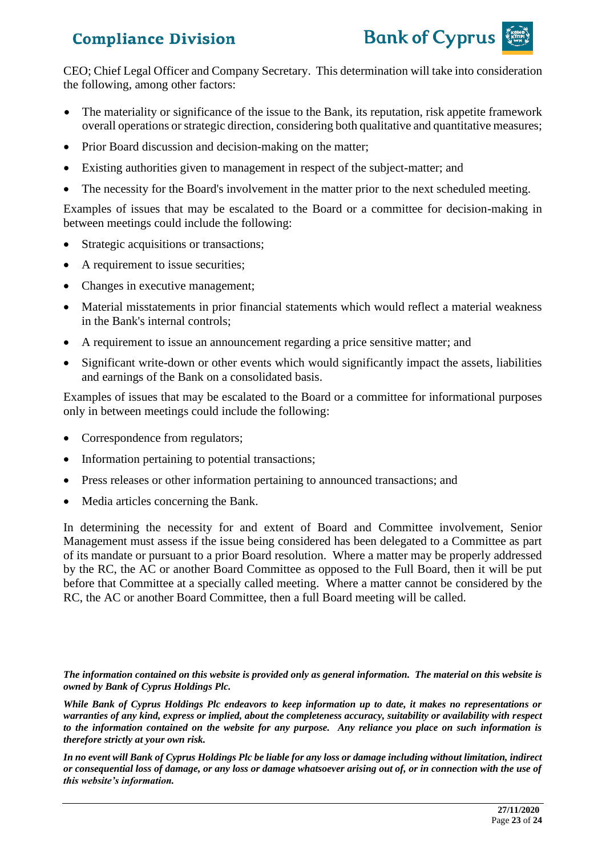

CEO; Chief Legal Officer and Company Secretary. This determination will take into consideration the following, among other factors:

- The materiality or significance of the issue to the Bank, its reputation, risk appetite framework overall operations or strategic direction, considering both qualitative and quantitative measures;
- Prior Board discussion and decision-making on the matter;
- Existing authorities given to management in respect of the subject-matter; and
- The necessity for the Board's involvement in the matter prior to the next scheduled meeting.

Examples of issues that may be escalated to the Board or a committee for decision-making in between meetings could include the following:

- Strategic acquisitions or transactions;
- A requirement to issue securities;
- Changes in executive management;
- Material misstatements in prior financial statements which would reflect a material weakness in the Bank's internal controls;
- A requirement to issue an announcement regarding a price sensitive matter; and
- Significant write-down or other events which would significantly impact the assets, liabilities and earnings of the Bank on a consolidated basis.

Examples of issues that may be escalated to the Board or a committee for informational purposes only in between meetings could include the following:

- Correspondence from regulators;
- Information pertaining to potential transactions;
- Press releases or other information pertaining to announced transactions; and
- Media articles concerning the Bank.

In determining the necessity for and extent of Board and Committee involvement, Senior Management must assess if the issue being considered has been delegated to a Committee as part of its mandate or pursuant to a prior Board resolution. Where a matter may be properly addressed by the RC, the AC or another Board Committee as opposed to the Full Board, then it will be put before that Committee at a specially called meeting. Where a matter cannot be considered by the RC, the AC or another Board Committee, then a full Board meeting will be called.

*The information contained on this website is provided only as general information. The material on this website is owned by Bank of Cyprus Holdings Plc.*

*While Bank of Cyprus Holdings Plc endeavors to keep information up to date, it makes no representations or warranties of any kind, express or implied, about the completeness accuracy, suitability or availability with respect to the information contained on the website for any purpose. Any reliance you place on such information is therefore strictly at your own risk.* 

*In no event will Bank of Cyprus Holdings Plc be liable for any loss or damage including without limitation, indirect or consequential loss of damage, or any loss or damage whatsoever arising out of, or in connection with the use of this website's information.*